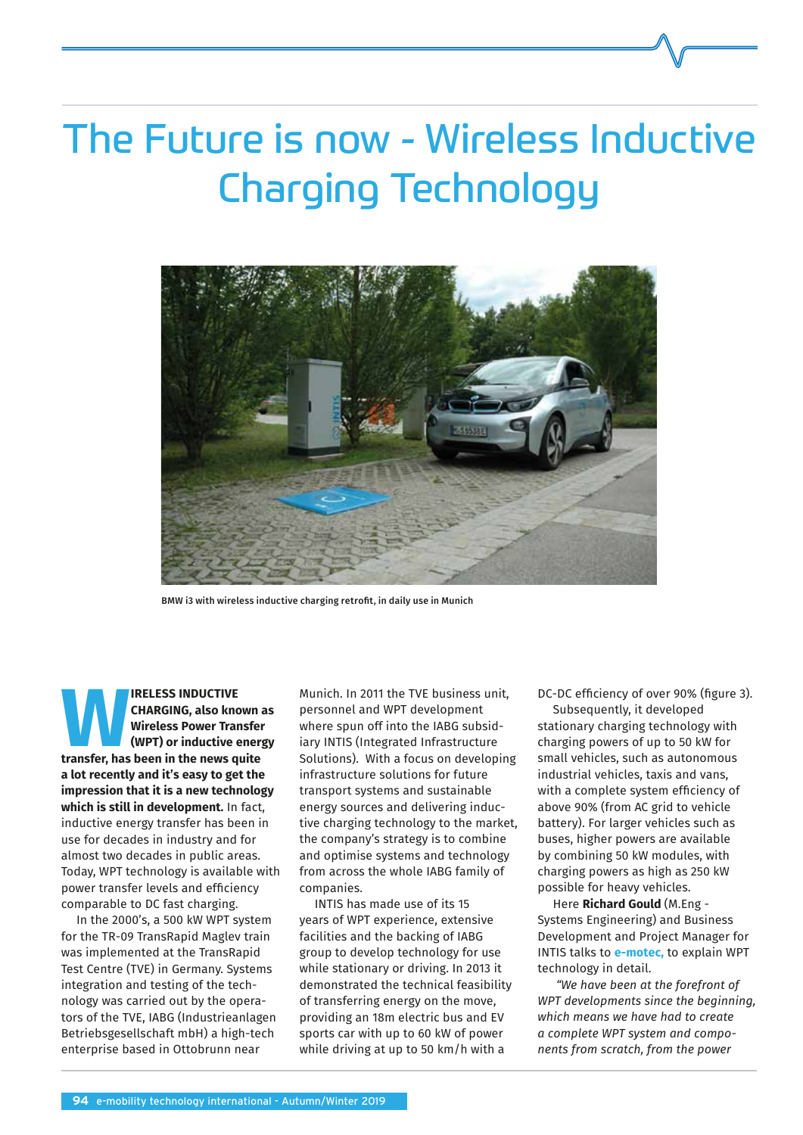# The Future is now - Wireless Inductive Charging Technology



BMW i3 with wireless inductive charging retrofit, in daily use in Munich

**EXAMPLESS INDUCTIVE CHARGING, also known in Wireless Power Transfer<br>
(WPT) or inductive energ<br>
transfer, has been in the news quite CHARGING, also known as Wireless Power Transfer (WPT) or inductive energy a lot recently and it's easy to get the impression that it is a new technology which is still in development.** In fact, inductive energy transfer has been in use for decades in industry and for almost two decades in public areas. Today, WPT technology is available with power transfer levels and efficiency comparable to DC fast charging.

In the 2000's, a 500 kW WPT system for the TR-09 TransRapid Maglev train was implemented at the TransRapid Test Centre (TVE) in Germany. Systems integration and testing of the technology was carried out by the operators of the TVE, IABG (Industrieanlagen Betriebsgesellschaft mbH) a high-tech enterprise based in Ottobrunn near

Munich. In 2011 the TVE business unit, personnel and WPT development where spun off into the IABG subsidiary INTIS (Integrated Infrastructure Solutions). With a focus on developing infrastructure solutions for future transport systems and sustainable energy sources and delivering inductive charging technology to the market, the company's strategy is to combine and optimise systems and technology from across the whole IABG family of companies.

INTIS has made use of its 15 years of WPT experience, extensive facilities and the backing of IABG group to develop technology for use while stationary or driving. In 2013 it demonstrated the technical feasibility of transferring energy on the move, providing an 18m electric bus and EV sports car with up to 60 kW of power while driving at up to 50 km/h with a

DC-DC efficiency of over 90% (figure 3).

Subsequently, it developed stationary charging technology with charging powers of up to 50 kW for small vehicles, such as autonomous industrial vehicles, taxis and vans, with a complete system efficiency of above 90% (from AC grid to vehicle battery). For larger vehicles such as buses, higher powers are available by combining 50 kW modules, with charging powers as high as 250 kW possible for heavy vehicles.

Here **Richard Gould** (M.Eng - Systems Engineering) and Business Development and Project Manager for INTIS talks to **e-motec,** to explain WPT technology in detail.

*"We have been at the forefront of WPT developments since the beginning, which means we have had to create a complete WPT system and components from scratch, from the power*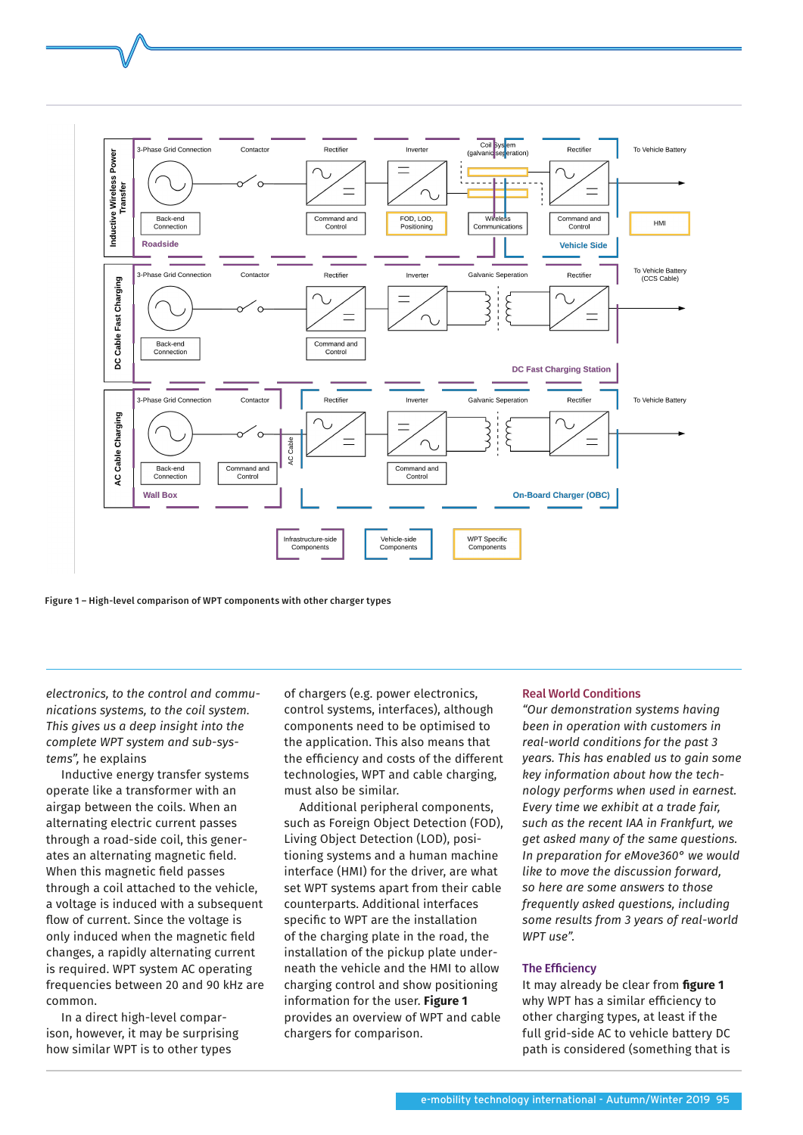

Figure 1 – High-level comparison of WPT components with other charger types

*electronics, to the control and communications systems, to the coil system. This gives us a deep insight into the complete WPT system and sub-systems",* he explains

Inductive energy transfer systems operate like a transformer with an airgap between the coils. When an alternating electric current passes through a road-side coil, this generates an alternating magnetic field. When this magnetic field passes through a coil attached to the vehicle, a voltage is induced with a subsequent flow of current. Since the voltage is only induced when the magnetic field changes, a rapidly alternating current is required. WPT system AC operating frequencies between 20 and 90 kHz are common.

In a direct high-level comparison, however, it may be surprising how similar WPT is to other types

of chargers (e.g. power electronics, control systems, interfaces), although components need to be optimised to the application. This also means that the efficiency and costs of the different technologies, WPT and cable charging, must also be similar.

Additional peripheral components, such as Foreign Object Detection (FOD), Living Object Detection (LOD), positioning systems and a human machine interface (HMI) for the driver, are what set WPT systems apart from their cable counterparts. Additional interfaces specific to WPT are the installation of the charging plate in the road, the installation of the pickup plate underneath the vehicle and the HMI to allow charging control and show positioning information for the user. **Figure 1**  provides an overview of WPT and cable chargers for comparison.

## Real World Conditions

*"Our demonstration systems having been in operation with customers in real-world conditions for the past 3 years. This has enabled us to gain some key information about how the technology performs when used in earnest. Every time we exhibit at a trade fair, such as the recent IAA in Frankfurt, we get asked many of the same questions. In preparation for eMove360° we would like to move the discussion forward, so here are some answers to those frequently asked questions, including some results from 3 years of real-world WPT use".* 

## The Efficiency

It may already be clear from **figure 1**  why WPT has a similar efficiency to other charging types, at least if the full grid-side AC to vehicle battery DC path is considered (something that is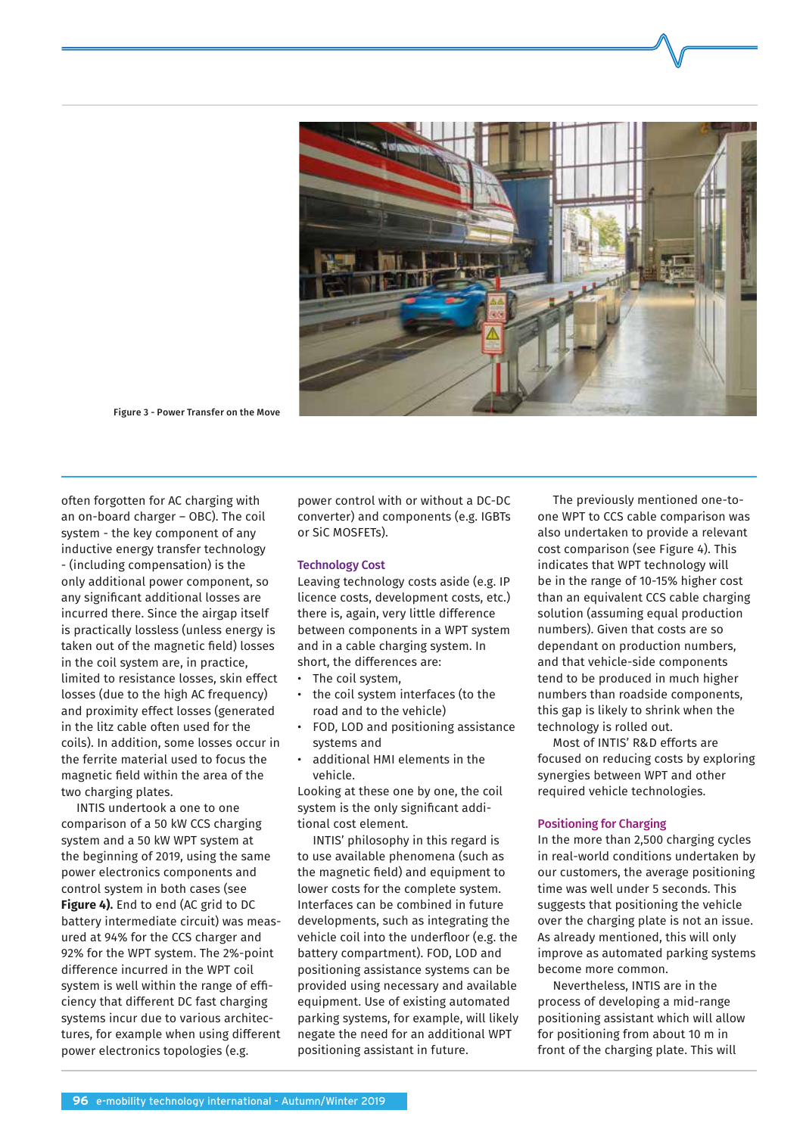

Figure 3 - Power Transfer on the Move

often forgotten for AC charging with an on-board charger – OBC). The coil system - the key component of any inductive energy transfer technology - (including compensation) is the only additional power component, so any significant additional losses are incurred there. Since the airgap itself is practically lossless (unless energy is taken out of the magnetic field) losses in the coil system are, in practice, limited to resistance losses, skin effect losses (due to the high AC frequency) and proximity effect losses (generated in the litz cable often used for the coils). In addition, some losses occur in the ferrite material used to focus the magnetic field within the area of the two charging plates.

INTIS undertook a one to one comparison of a 50 kW CCS charging system and a 50 kW WPT system at the beginning of 2019, using the same power electronics components and control system in both cases (see **Figure 4).** End to end (AC grid to DC battery intermediate circuit) was measured at 94% for the CCS charger and 92% for the WPT system. The 2%-point difference incurred in the WPT coil system is well within the range of efficiency that different DC fast charging systems incur due to various architectures, for example when using different power electronics topologies (e.g.

power control with or without a DC-DC converter) and components (e.g. IGBTs or SiC MOSFETs).

#### Technology Cost

Leaving technology costs aside (e.g. IP licence costs, development costs, etc.) there is, again, very little difference between components in a WPT system and in a cable charging system. In short, the differences are:

- The coil system,
- the coil system interfaces (to the road and to the vehicle)
- FOD, LOD and positioning assistance systems and
- additional HMI elements in the vehicle.

Looking at these one by one, the coil system is the only significant additional cost element.

INTIS' philosophy in this regard is to use available phenomena (such as the magnetic field) and equipment to lower costs for the complete system. Interfaces can be combined in future developments, such as integrating the vehicle coil into the underfloor (e.g. the battery compartment). FOD, LOD and positioning assistance systems can be provided using necessary and available equipment. Use of existing automated parking systems, for example, will likely negate the need for an additional WPT positioning assistant in future.

The previously mentioned one-toone WPT to CCS cable comparison was also undertaken to provide a relevant cost comparison (see Figure 4). This indicates that WPT technology will be in the range of 10-15% higher cost than an equivalent CCS cable charging solution (assuming equal production numbers). Given that costs are so dependant on production numbers, and that vehicle-side components tend to be produced in much higher numbers than roadside components, this gap is likely to shrink when the technology is rolled out.

Most of INTIS' R&D efforts are focused on reducing costs by exploring synergies between WPT and other required vehicle technologies.

#### Positioning for Charging

In the more than 2,500 charging cycles in real-world conditions undertaken by our customers, the average positioning time was well under 5 seconds. This suggests that positioning the vehicle over the charging plate is not an issue. As already mentioned, this will only improve as automated parking systems become more common.

Nevertheless, INTIS are in the process of developing a mid-range positioning assistant which will allow for positioning from about 10 m in front of the charging plate. This will